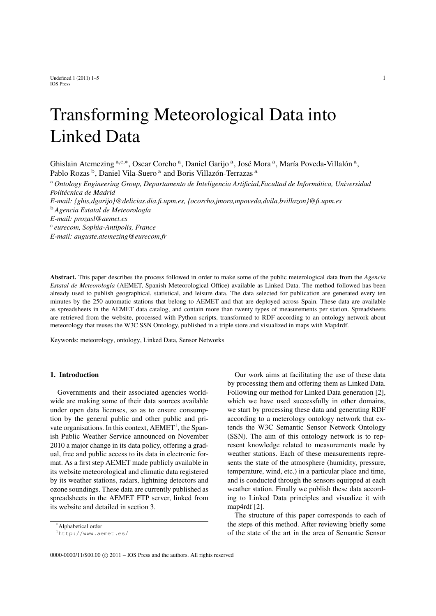Undefined  $1 (2011) 1-5$  1 IOS Press

# Transforming Meteorological Data into Linked Data

Ghisl[a](#page-0-0)in Atemezing <sup>a,[c](#page-0-1),\*</sup>, Oscar Corcho<sup>a</sup>, Daniel Garijo<sup>a</sup>, José Mora<sup>a</sup>, María Poveda-Villalón<sup>a</sup>, Pa[b](#page-0-2)lo Roz[a](#page-0-0)s<sup>b</sup>, Daniel Vila-Suero<sup>a</sup> and Boris Villazón-Terrazas<sup>a</sup>

<span id="page-0-2"></span><span id="page-0-1"></span><sup>a</sup> *Ontology Engineering Group, Departamento de Inteligencia Artificial,Facultad de Informática, Universidad Politécnica de Madrid E-mail: {ghis,dgarijo}@delicias.dia.fi.upm.es, {ocorcho,jmora,mpoveda,dvila,bvillazon}@fi.upm.es* <sup>b</sup> *Agencia Estatal de Meteorología E-mail: prozasl@aemet.es* c *eurecom, Sophia-Antipolis, France E-mail: auguste.atemezing@eurecom.fr*

Abstract. This paper describes the process followed in order to make some of the public meterological data from the *Agencia Estatal de Meteorología* (AEMET, Spanish Meteorological Office) available as Linked Data. The method followed has been already used to publish geographical, statistical, and leisure data. The data selected for publication are generated every ten minutes by the 250 automatic stations that belong to AEMET and that are deployed across Spain. These data are available as spreadsheets in the AEMET data catalog, and contain more than twenty types of measurements per station. Spreadsheets are retrieved from the website, processed with Python scripts, transformed to RDF according to an ontology network about meteorology that reuses the W3C SSN Ontology, published in a triple store and visualized in maps with Map4rdf.

Keywords: meteorology, ontology, Linked Data, Sensor Networks

# 1. Introduction

Governments and their associated agencies worldwide are making some of their data sources available under open data licenses, so as to ensure consumption by the general public and other public and private organisations. In this context,  $AEMET<sup>1</sup>$  $AEMET<sup>1</sup>$  $AEMET<sup>1</sup>$ , the Spanish Public Weather Service announced on November 2010 a major change in its data policy, offering a gradual, free and public access to its data in electronic format. As a first step AEMET made publicly available in its website meteorological and climatic data registered by its weather stations, radars, lightning detectors and ozone soundings. These data are currently published as spreadsheets in the AEMET FTP server, linked from its website and detailed in section [3.](#page-1-0)

\*Alphabetical order

<span id="page-0-3"></span><sup>1</sup><http://www.aemet.es/>

<span id="page-0-0"></span>Our work aims at facilitating the use of these data by processing them and offering them as Linked Data. Following our method for Linked Data generation [\[2\]](#page-10-0), which we have used successfully in other domains, we start by processing these data and generating RDF according to a meterology ontology network that extends the W3C Semantic Sensor Network Ontology (SSN). The aim of this ontology network is to represent knowledge related to measurements made by weather stations. Each of these measurements represents the state of the atmosphere (humidity, pressure, temperature, wind, etc.) in a particular place and time, and is conducted through the sensors equipped at each weather station. Finally we publish these data according to Linked Data principles and visualize it with map4rdf [\[2\]](#page-10-0).

The structure of this paper corresponds to each of the steps of this method. After reviewing briefly some of the state of the art in the area of Semantic Sensor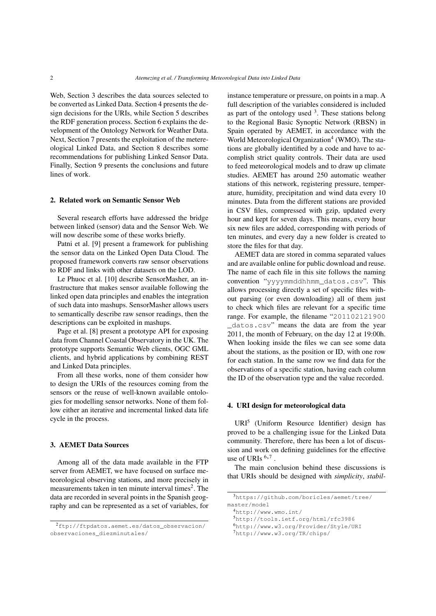Web, Section [3](#page-1-0) describes the data sources selected to be converted as Linked Data. Section [4](#page-1-1) presents the design decisions for the URIs, while Section [5](#page-3-0) describes the RDF generation process. Section [6](#page-4-0) explains the development of the Ontology Network for Weather Data. Next, Section [7](#page-7-0) presents the exploitation of the metereological Linked Data, and Section [8](#page-9-0) describes some recommendations for publishing Linked Sensor Data. Finally, Section [9](#page-10-1) presents the conclusions and future lines of work.

#### 2. Related work on Semantic Sensor Web

Several research efforts have addressed the bridge between linked (sensor) data and the Sensor Web. We will now describe some of these works briefly.

Patni et al. [\[9\]](#page-10-2) present a framework for publishing the sensor data on the Linked Open Data Cloud. The proposed framework converts raw sensor observations to RDF and links with other datasets on the LOD.

Le Phuoc et al. [\[10\]](#page-10-3) describe SensorMasher, an infrastructure that makes sensor available following the linked open data principles and enables the integration of such data into mashups. SensorMasher allows users to semantically describe raw sensor readings, then the descriptions can be exploited in mashups.

Page et al. [\[8\]](#page-10-4) present a prototype API for exposing data from Channel Coastal Observatory in the UK. The prototype supports Semantic Web clients, OGC GML clients, and hybrid applications by combining REST and Linked Data principles.

From all these works, none of them consider how to design the URIs of the resources coming from the sensors or the reuse of well-known available ontologies for modelling sensor networks. None of them follow either an iterative and incremental linked data life cycle in the process.

## <span id="page-1-0"></span>3. AEMET Data Sources

Among all of the data made available in the FTP server from AEMET, we have focused on surface meteorological observing stations, and more precisely in measurements taken in ten minute interval times $2$ . The data are recorded in several points in the Spanish geography and can be represented as a set of variables, for instance temperature or pressure, on points in a map. A full description of the variables considered is included as part of the ontology used  $3$ . These stations belong to the Regional Basic Synoptic Network (RBSN) in Spain operated by AEMET, in accordance with the World Meteorological Organization<sup>[4](#page-1-4)</sup> (WMO). The stations are globally identified by a code and have to accomplish strict quality controls. Their data are used to feed meteorological models and to draw up climate studies. AEMET has around 250 automatic weather stations of this network, registering pressure, temperature, humidity, precipitation and wind data every 10 minutes. Data from the different stations are provided in CSV files, compressed with gzip, updated every hour and kept for seven days. This means, every hour six new files are added, corresponding with periods of ten minutes, and every day a new folder is created to store the files for that day.

AEMET data are stored in comma separated values and are available online for public download and reuse. The name of each file in this site follows the naming convention "yyyymmddhhmm\_datos.csv". This allows processing directly a set of specific files without parsing (or even downloading) all of them just to check which files are relevant for a specific time range. For example, the filename "201102121900 \_datos.csv" means the data are from the year 2011, the month of February, on the day 12 at 19:00h. When looking inside the files we can see some data about the stations, as the position or ID, with one row for each station. In the same row we find data for the observations of a specific station, having each column the ID of the observation type and the value recorded.

# <span id="page-1-1"></span>4. URI design for meteorological data

URI[5](#page-1-5) (Uniform Resource Identifier) design has proved to be a challenging issue for the Linked Data community. Therefore, there has been a lot of discussion and work on defining guidelines for the effective use of URIs  $6,7$  $6,7$  $6,7$ .

The main conclusion behind these discussions is that URIs should be designed with *simplicity*, *stabil-*

<span id="page-1-2"></span><sup>2</sup>[ftp://ftpdatos.aemet.es/datos\\_observacion/](ftp://ftpdatos.aemet.es/datos_observacion/observaciones_diezminutales/) [observaciones\\_diezminutales/](ftp://ftpdatos.aemet.es/datos_observacion/observaciones_diezminutales/)

<span id="page-1-3"></span><sup>3</sup>[https://github.com/boricles/aemet/tree/](https://github.com/boricles/aemet/tree/master/model) [master/model](https://github.com/boricles/aemet/tree/master/model)

<span id="page-1-4"></span><sup>4</sup><http://www.wmo.int/>

<span id="page-1-5"></span><sup>5</sup><http://tools.ietf.org/html/rfc3986>

<span id="page-1-6"></span><sup>6</sup><http://www.w3.org/Provider/Style/URI>

<span id="page-1-7"></span><sup>7</sup><http://www.w3.org/TR/chips/>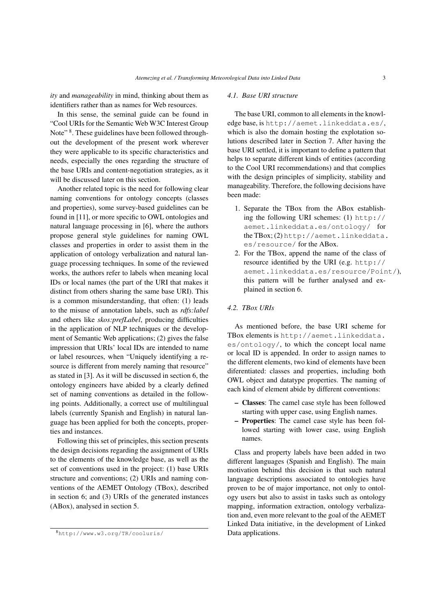*ity* and *manageability* in mind, thinking about them as identifiers rather than as names for Web resources.

In this sense, the seminal guide can be found in "Cool URIs for the Semantic Web W3C Interest Group Note"<sup>[8](#page-2-0)</sup>. These guidelines have been followed throughout the development of the present work wherever they were applicable to its specific characteristics and needs, especially the ones regarding the structure of the base URIs and content-negotiation strategies, as it will be discussed later on this section.

Another related topic is the need for following clear naming conventions for ontology concepts (classes and properties), some survey-based guidelines can be found in [\[11\]](#page-10-5), or more specific to OWL ontologies and natural language processing in [\[6\]](#page-10-6), where the authors propose general style guidelines for naming OWL classes and properties in order to assist them in the application of ontology verbalization and natural language processing techniques. In some of the reviewed works, the authors refer to labels when meaning local IDs or local names (the part of the URI that makes it distinct from others sharing the same base URI). This is a common misunderstanding, that often: (1) leads to the misuse of annotation labels, such as *rdfs:label* and others like *skos:prefLabel*, producing difficulties in the application of NLP techniques or the development of Semantic Web applications; (2) gives the false impression that URIs' local IDs are intended to name or label resources, when "Uniquely identifying a resource is different from merely naming that resource" as stated in [\[3\]](#page-10-7). As it will be discussed in section [6,](#page-4-0) the ontology engineers have abided by a clearly defined set of naming conventions as detailed in the following points. Additionally, a correct use of multilingual labels (currently Spanish and English) in natural language has been applied for both the concepts, properties and instances.

Following this set of principles, this section presents the design decisions regarding the assignment of URIs to the elements of the knowledge base, as well as the set of conventions used in the project: (1) base URIs structure and conventions; (2) URIs and naming conventions of the AEMET Ontology (TBox), described in section [6;](#page-4-0) and (3) URIs of the generated instances (ABox), analysed in section [5.](#page-3-0)

## *4.1. Base URI structure*

The base URI, common to all elements in the knowledge base, is <http://aemet.linkeddata.es/>, which is also the domain hosting the explotation solutions described later in Section [7.](#page-7-0) After having the base URI settled, it is important to define a pattern that helps to separate different kinds of entities (according to the Cool URI recommendations) and that complies with the design principles of simplicity, stability and manageability. Therefore, the following decisions have been made:

- 1. Separate the TBox from the ABox establishing the following URI schemes: (1) [http://](http://aemet.linkeddata.es/ontology/) [aemet.linkeddata.es/ontology/](http://aemet.linkeddata.es/ontology/) for the TBox; (2) [http://aemet.linkeddata.](http://aemet.linkeddata.es/resource/) [es/resource/](http://aemet.linkeddata.es/resource/) for the ABox.
- 2. For the TBox, append the name of the class of resource identified by the URI (e.g. [http://](http://aemet.linkeddata.es/resource/Point/) [aemet.linkeddata.es/resource/Point/](http://aemet.linkeddata.es/resource/Point/)), this pattern will be further analysed and explained in section [6.](#page-4-0)

# *4.2. TBox URIs*

As mentioned before, the base URI scheme for TBox elements is [http://aemet.linkeddata.](http://aemet.linkeddata.es/ontology/) [es/ontology/](http://aemet.linkeddata.es/ontology/), to which the concept local name or local ID is appended. In order to assign names to the different elements, two kind of elements have been diferentiated: classes and properties, including both OWL object and datatype properties. The naming of each kind of element abide by different conventions:

- Classes: The camel case style has been followed starting with upper case, using English names.
- Properties: The camel case style has been followed starting with lower case, using English names.

Class and property labels have been added in two different languages (Spanish and English). The main motivation behind this decision is that such natural language descriptions associated to ontologies have proven to be of major importance, not only to ontology users but also to assist in tasks such as ontology mapping, information extraction, ontology verbalization and, even more relevant to the goal of the AEMET Linked Data initiative, in the development of Linked Data applications.

<span id="page-2-0"></span><sup>8</sup><http://www.w3.org/TR/cooluris/>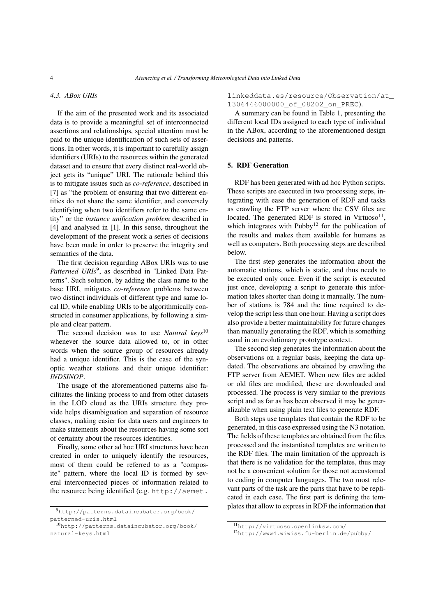## *4.3. ABox URIs*

If the aim of the presented work and its associated data is to provide a meaningful set of interconnected assertions and relationships, special attention must be paid to the unique identification of such sets of assertions. In other words, it is important to carefully assign identifiers (URIs) to the resources within the generated dataset and to ensure that every distinct real-world object gets its "unique" URI. The rationale behind this is to mitigate issues such as *co-reference*, described in [\[7\]](#page-10-8) as "the problem of ensuring that two different entities do not share the same identifier, and conversely identifying when two identifiers refer to the same entity" or the *instance unification problem* described in [\[4\]](#page-10-9) and analysed in [\[1\]](#page-10-10). In this sense, throughout the development of the present work a series of decisions have been made in order to preserve the integrity and semantics of the data.

The first decision regarding ABox URIs was to use Patterned URIs<sup>[9](#page-3-1)</sup>, as described in "Linked Data Patterns". Such solution, by adding the class name to the base URI, mitigates *co-reference* problems between two distinct individuals of different type and same local ID, while enabling URIs to be algorithmically constructed in consumer applications, by following a simple and clear pattern.

The second decision was to use *Natural keys*[10](#page-3-2) whenever the source data allowed to, or in other words when the source group of resources already had a unique identifier. This is the case of the synoptic weather stations and their unique identifier: *INDSINOP*.

The usage of the aforementioned patterns also facilitates the linking process to and from other datasets in the LOD cloud as the URIs structure they provide helps disambiguation and separation of resource classes, making easier for data users and engineers to make statements about the resources having some sort of certainty about the resources identities.

Finally, some other ad hoc URI structures have been created in order to uniquely identify the resources, most of them could be referred to as a "composite" pattern, where the local ID is formed by several interconnected pieces of information related to the resource being identified (e.g. [http://aemet.](http://aemet.linkeddata.es/resource/Observation/at_1306446000000_of_08202_on_PREC)

[linkeddata.es/resource/Observation/at](http://aemet.linkeddata.es/resource/Observation/at_1306446000000_of_08202_on_PREC)\_ [1306446000000\\_of\\_08202\\_on\\_PREC](http://aemet.linkeddata.es/resource/Observation/at_1306446000000_of_08202_on_PREC)).

A summary can be found in Table [1,](#page-4-1) presenting the different local IDs assigned to each type of individual in the ABox, according to the aforementioned design decisions and patterns.

# <span id="page-3-0"></span>5. RDF Generation

RDF has been generated with ad hoc Python scripts. These scripts are executed in two processing steps, integrating with ease the generation of RDF and tasks as crawling the FTP server where the CSV files are located. The generated RDF is stored in Virtuoso<sup>[11](#page-3-3)</sup>, which integrates with Pubby<sup>[12](#page-3-4)</sup> for the publication of the results and makes them available for humans as well as computers. Both processing steps are described below.

The first step generates the information about the automatic stations, which is static, and thus needs to be executed only once. Even if the script is executed just once, developing a script to generate this information takes shorter than doing it manually. The number of stations is 784 and the time required to develop the script less than one hour. Having a script does also provide a better maintainability for future changes than manually generating the RDF, which is something usual in an evolutionary prototype context.

The second step generates the information about the observations on a regular basis, keeping the data updated. The observations are obtained by crawling the FTP server from AEMET. When new files are added or old files are modified, these are downloaded and processed. The process is very similar to the previous script and as far as has been observed it may be generalizable when using plain text files to generate RDF.

Both steps use templates that contain the RDF to be generated, in this case expressed using the N3 notation. The fields of these templates are obtained from the files processed and the instantiated templates are written to the RDF files. The main limitation of the approach is that there is no validation for the templates, thus may not be a convenient solution for those not accustomed to coding in computer languages. The two most relevant parts of the task are the parts that have to be replicated in each case. The first part is defining the templates that allow to express in RDF the information that

<span id="page-3-1"></span><sup>9</sup>[http://patterns.dataincubator.org/book/](http://aemet.linkeddata.es/resource/Observation/at_1306446000000_of_08202_on_PREC) [patterned-uris.html](http://aemet.linkeddata.es/resource/Observation/at_1306446000000_of_08202_on_PREC)

<span id="page-3-2"></span><sup>10</sup>[http://patterns.dataincubator.org/book/](http://aemet.linkeddata.es/resource/Observation/at_1306446000000_of_08202_on_PREC) [natural-keys.html](http://aemet.linkeddata.es/resource/Observation/at_1306446000000_of_08202_on_PREC)

<span id="page-3-3"></span><sup>11</sup><http://virtuoso.openlinksw.com/>

<span id="page-3-4"></span><sup>12</sup><http://www4.wiwiss.fu-berlin.de/pubby/>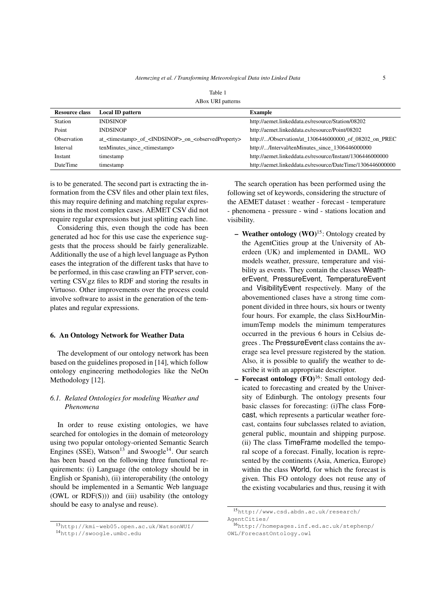| <b>Resource class</b> | <b>Local ID pattern</b>                                                                      | <b>Example</b>                                             |
|-----------------------|----------------------------------------------------------------------------------------------|------------------------------------------------------------|
| Station               | <b>INDSINOP</b>                                                                              | http://aemet.linkeddata.es/resource/Station/08202          |
| Point                 | <b>INDSINOP</b>                                                                              | http://aemet.linkeddata.es/resource/Point/08202            |
| <b>Observation</b>    | at <timestamp> of <indsinop> on <observedproperty></observedproperty></indsinop></timestamp> | http:///Observation/at_1306446000000_of_08202_on_PREC      |
| Interval              | tenMinutes since <timestamp></timestamp>                                                     | http:///Interval/tenMinutes_since_1306446000000            |
| Instant               | timestamp                                                                                    | http://aemet.linkeddata.es/resource/Instant/1306446000000  |
| <b>DateTime</b>       | timestamp                                                                                    | http://aemet.linkeddata.es/resource/DateTime/1306446000000 |
|                       |                                                                                              |                                                            |

<span id="page-4-1"></span>

| Table 1           |  |
|-------------------|--|
| ABox URI patterns |  |

is to be generated. The second part is extracting the information from the CSV files and other plain text files, this may require defining and matching regular expressions in the most complex cases. AEMET CSV did not require regular expressions but just splitting each line.

Considering this, even though the code has been generated ad hoc for this use case the experience suggests that the process should be fairly generalizable. Additionally the use of a high level language as Python eases the integration of the different tasks that have to be performed, in this case crawling an FTP server, converting CSV.gz files to RDF and storing the results in Virtuoso. Other improvements over the process could involve software to assist in the generation of the templates and regular expressions.

#### <span id="page-4-0"></span>6. An Ontology Network for Weather Data

The development of our ontology network has been based on the guidelines proposed in [\[14\]](#page-10-11), which follow ontology engineering methodologies like the NeOn Methodology [\[12\]](#page-10-12).

# *6.1. Related Ontologies for modeling Weather and Phenomena*

In order to reuse existing ontologies, we have searched for ontologies in the domain of meteorology using two popular ontology-oriented Semantic Search Engines (SSE), Watson<sup>[13](#page-4-2)</sup> and Swoogle<sup>[14](#page-4-3)</sup>. Our search has been based on the following three functional requirements: (i) Language (the ontology should be in English or Spanish), (ii) interoperability (the ontology should be implemented in a Semantic Web language (OWL or  $RDF(S)$ )) and (iii) usability (the ontology should be easy to analyse and reuse).

The search operation has been performed using the following set of keywords, considering the structure of the AEMET dataset : weather - forecast - temperature - phenomena - pressure - wind - stations location and visibility.

- Weather ontology  $(WO)^{15}$  $(WO)^{15}$  $(WO)^{15}$ : Ontology created by the AgentCities group at the University of Aberdeen (UK) and implemented in DAML. WO models weather, pressure, temperature and visibility as events. They contain the classes WeatherEvent, PressureEvent, TemperatureEvent and VisibilityEvent respectively. Many of the abovementioned clases have a strong time component divided in three hours, six hours or twenty four hours. For example, the class SixHourMinimumTemp models the minimum temperatures occurred in the previous 6 hours in Celsius degrees . The PressureEvent class contains the average sea level pressure registered by the station. Also, it is possible to qualify the weather to describe it with an appropriate descriptor.
- Forecast ontology  $(FO)^{16}$  $(FO)^{16}$  $(FO)^{16}$ : Small ontology dedicated to forecasting and created by the University of Edinburgh. The ontology presents four basic classes for forecasting: (i)The class Forecast, which represents a particular weather forecast, contains four subclasses related to aviation, general public, mountain and shipping purpose. (ii) The class TimeFrame modelled the temporal scope of a forecast. Finally, location is represented by the continents (Asia, America, Europe) within the class World, for which the forecast is given. This FO ontology does not reuse any of the existing vocabularies and thus, reusing it with

<span id="page-4-2"></span><sup>13</sup><http://kmi-web05.open.ac.uk/WatsonWUI/>

<span id="page-4-3"></span><sup>14</sup><http://swoogle.umbc.edu>

<span id="page-4-4"></span><sup>15</sup>[http://www.csd.abdn.ac.uk/research/](http://www.csd.abdn.ac.uk/research/AgentCities/) [AgentCities/](http://www.csd.abdn.ac.uk/research/AgentCities/)

<span id="page-4-5"></span><sup>16</sup>[http://homepages.inf.ed.ac.uk/stephenp/](http://homepages.inf.ed.ac.uk/stephenp/OWL/ForecastOntology.owl) [OWL/ForecastOntology.owl](http://homepages.inf.ed.ac.uk/stephenp/OWL/ForecastOntology.owl)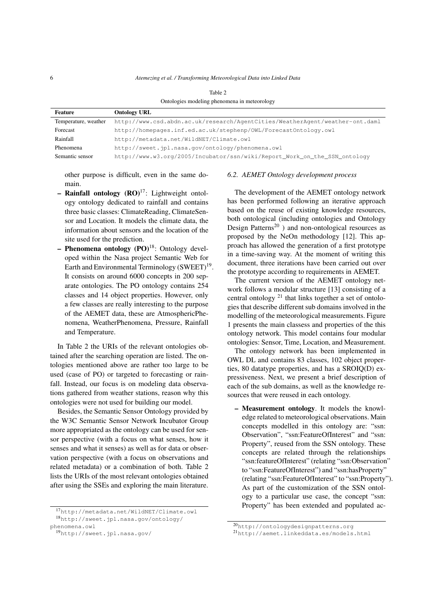| Ontologies modeling phenomena in meteorology |                                                                              |  |
|----------------------------------------------|------------------------------------------------------------------------------|--|
| Feature                                      | <b>Ontology URL</b>                                                          |  |
| Temperature, weather                         | http://www.csd.abdn.ac.uk/research/AgentCities/WeatherAgent/weather-ont.daml |  |
| Forecast                                     | http://homepages.inf.ed.ac.uk/stephenp/OWL/ForecastOntology.owl              |  |
| Rainfall                                     | http://metadata.net/WildNET/Climate.owl                                      |  |
| Phenomena                                    | http://sweet.jpl.nasa.gov/ontology/phenomena.owl                             |  |
| Semantic sensor                              | http://www.w3.org/2005/Incubator/ssn/wiki/Report_Work_on_the_SSN_ontology    |  |

other purpose is difficult, even in the same do-

main. – Rainfall ontology  $(RO)^{17}$  $(RO)^{17}$  $(RO)^{17}$ : Lightweight ontol-

- ogy ontology dedicated to rainfall and contains three basic classes: ClimateReading, ClimateSensor and Location. It models the climate data, the information about sensors and the location of the site used for the prediction.
- Phenomena ontology  $(PO)^{18}$  $(PO)^{18}$  $(PO)^{18}$ : Ontology developed within the Nasa project Semantic Web for Earth and Environmental Terminology (SWEET)<sup>[19](#page-5-2)</sup>. It consists on around 6000 concepts in 200 separate ontologies. The PO ontology contains 254 classes and 14 object properties. However, only a few classes are really interesting to the purpose of the AEMET data, these are AtmosphericPhenomena, WeatherPhenomena, Pressure, Rainfall and Temperature.

In Table [2](#page-5-3) the URIs of the relevant ontologies obtained after the searching operation are listed. The ontologies mentioned above are rather too large to be used (case of PO) or targeted to forecasting or rainfall. Instead, our focus is on modeling data observations gathered from weather stations, reason why this ontologies were not used for building our model.

Besides, the Semantic Sensor Ontology provided by the W3C Semantic Sensor Network Incubator Group more appropriated as the ontology can be used for sensor perspective (with a focus on what senses, how it senses and what it senses) as well as for data or observation perspective (with a focus on observations and related metadata) or a combination of both. Table 2 lists the URIs of the most relevant ontologies obtained after using the SSEs and exploring the main literature.

## <span id="page-5-3"></span>*6.2. AEMET Ontology development process*

The development of the AEMET ontology network has been performed following an iterative approach based on the reuse of existing knowledge resources, both ontological (including ontologies and Ontology Design Patterns<sup>[20](#page-5-4)</sup> ) and non-ontological resources as proposed by the NeOn methodology [\[12\]](#page-10-12). This approach has allowed the generation of a first prototype in a time-saving way. At the moment of writing this document, three iterations have been carried out over the prototype according to requirements in AEMET.

The current version of the AEMET ontology network follows a modular structure [\[13\]](#page-10-13) consisting of a central ontology  $2<sup>1</sup>$  that links together a set of ontologies that describe different sub domains involved in the modelling of the meteorological measurements. Figure [1](#page-6-0) presents the main classess and properties of the this ontology network. This model contains four modular ontologies: Sensor, Time, Location, and Measurement.

The ontology network has been implemented in OWL DL and contains 83 classes, 102 object properties, 80 datatype properties, and has a SROIQ(D) expressiveness. Next, we present a brief description of each of the sub domains, as well as the knowledge resources that were reused in each ontology.

– Measurement ontology. It models the knowledge related to meteorological observations. Main concepts modelled in this ontology are: "ssn: Observation", "ssn:FeatureOfInterest" and "ssn: Property", reused from the SSN ontology. These concepts are related through the relationships "ssn:featureOfInterest" (relating "ssn:Observation" to "ssn:FeatureOfInterest") and "ssn:hasProperty" (relating "ssn:FeatureOfInterest" to "ssn:Property"). As part of the customization of the SSN ontology to a particular use case, the concept "ssn: Property" has been extended and populated ac-

<span id="page-5-1"></span><span id="page-5-0"></span><sup>17</sup><http://metadata.net/WildNET/Climate.owl>

<sup>18</sup>[http://sweet.jpl.nasa.gov/ontology/](http://sweet.jpl.nasa.gov/ontology/phenomena.owl) [phenomena.owl](http://sweet.jpl.nasa.gov/ontology/phenomena.owl)

<span id="page-5-2"></span><sup>19</sup><http://sweet.jpl.nasa.gov/>

<span id="page-5-4"></span><sup>20</sup><http://ontologydesignpatterns.org>

<span id="page-5-5"></span><sup>21</sup><http://aemet.linkeddata.es/models.html>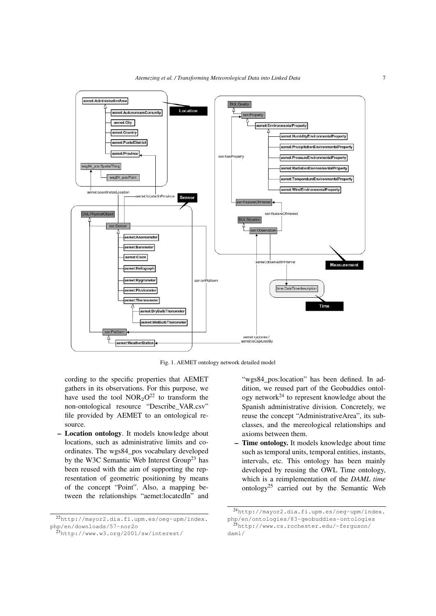

<span id="page-6-0"></span>Fig. 1. AEMET ontology network detailed model

cording to the specific properties that AEMET gathers in its observations. For this purpose, we have used the tool  $NOR<sub>2</sub>O<sup>22</sup>$  $NOR<sub>2</sub>O<sup>22</sup>$  $NOR<sub>2</sub>O<sup>22</sup>$  to transform the non-ontological resource "Describe\_VAR.csv" file provided by AEMET to an ontological resource.

– Location ontology. It models knowledge about locations, such as administrative limits and coordinates. The wgs84\_pos vocabulary developed by the W3C Semantic Web Interest Group<sup>[23](#page-6-2)</sup> has been reused with the aim of supporting the representation of geometric positioning by means of the concept "Point". Also, a mapping between the relationships "aemet:locatedIn" and

"wgs84\_pos:location" has been defined. In addition, we reused part of the Geobuddies ontology network[24](#page-6-3) to represent knowledge about the Spanish administrative division. Concretely, we reuse the concept "AdministrativeArea", its subclasses, and the mereological relationships and axioms between them.

– Time ontology. It models knowledge about time such as temporal units, temporal entities, instants, intervals, etc. This ontology has been mainly developed by reusing the OWL Time ontology, which is a reimplementation of the *DAML time* ontology<sup>[25](#page-6-4)</sup> carried out by the Semantic Web

<span id="page-6-1"></span><sup>22</sup>[http://mayor2.dia.fi.upm.es/oeg-upm/index.](http://mayor2.dia.fi.upm.es/oeg-upm/index.php/en/downloads/57-nor2o) [php/en/downloads/57-nor2o](http://mayor2.dia.fi.upm.es/oeg-upm/index.php/en/downloads/57-nor2o)

<span id="page-6-2"></span><sup>23</sup><http://www.w3.org/2001/sw/interest/>

<span id="page-6-4"></span><span id="page-6-3"></span><sup>24</sup>[http://mayor2.dia.fi.upm.es/oeg-upm/index.](http://mayor2.dia.fi.upm.es/oeg-upm/index.php/en/ontologies/83-geobuddies-ontologies) [php/en/ontologies/83-geobuddies-ontologies](http://mayor2.dia.fi.upm.es/oeg-upm/index.php/en/ontologies/83-geobuddies-ontologies) <sup>25</sup>[http://www.cs.rochester.edu/~ferguson/](http://www.cs.rochester.edu/~ferguson/daml/) [daml/](http://www.cs.rochester.edu/~ferguson/daml/)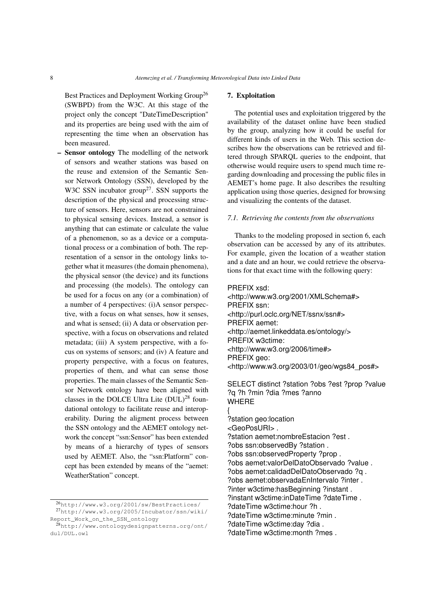Best Practices and Deployment Working Group<sup>[26](#page-7-1)</sup> (SWBPD) from the W3C. At this stage of the project only the concept "DateTimeDescription" and its properties are being used with the aim of representing the time when an observation has been measured.

– Sensor ontology The modelling of the network of sensors and weather stations was based on the reuse and extension of the Semantic Sensor Network Ontology (SSN), developed by the W3C SSN incubator group<sup>[27](#page-7-2)</sup>. SSN supports the description of the physical and processing structure of sensors. Here, sensors are not constrained to physical sensing devices. Instead, a sensor is anything that can estimate or calculate the value of a phenomenon, so as a device or a computational process or a combination of both. The representation of a sensor in the ontology links together what it measures (the domain phenomena), the physical sensor (the device) and its functions and processing (the models). The ontology can be used for a focus on any (or a combination) of a number of 4 perspectives: (i)A sensor perspective, with a focus on what senses, how it senses, and what is sensed; (ii) A data or observation perspective, with a focus on observations and related metadata; (iii) A system perspective, with a focus on systems of sensors; and (iv) A feature and property perspective, with a focus on features, properties of them, and what can sense those properties. The main classes of the Semantic Sensor Network ontology have been aligned with classes in the DOLCE Ultra Lite  $(DUL)^{28}$  $(DUL)^{28}$  $(DUL)^{28}$  foundational ontology to facilitate reuse and interoperability. During the aligment process between the SSN ontology and the AEMET ontology network the concept "ssn:Sensor" has been extended by means of a hierarchy of types of sensors used by AEMET. Also, the "ssn:Platform" concept has been extended by means of the "aemet: WeatherStation" concept.

# <span id="page-7-0"></span>7. Exploitation

The potential uses and exploitation triggered by the availability of the dataset online have been studied by the group, analyzing how it could be useful for different kinds of users in the Web. This section describes how the observations can be retrieved and filtered through SPARQL queries to the endpoint, that otherwise would require users to spend much time regarding downloading and processing the public files in AEMET's home page. It also describes the resulting application using those queries, designed for browsing and visualizing the contents of the dataset.

## *7.1. Retrieving the contents from the observations*

Thanks to the modeling proposed in section [6,](#page-4-0) each observation can be accessed by any of its attributes. For example, given the location of a weather station and a date and an hour, we could retrieve the observations for that exact time with the following query:

PREFIX xsd: <http://www.w3.org/2001/XMLSchema#> PREFIX ssn: <http://purl.oclc.org/NET/ssnx/ssn#> PREFIX aemet: <http://aemet.linkeddata.es/ontology/> PREFIX w3ctime: <http://www.w3.org/2006/time#> PREFIX geo: <http://www.w3.org/2003/01/geo/wgs84\_pos#>

SELECT distinct ?station ?obs ?est ?prop ?value ?q ?h ?min ?dia ?mes ?anno WHERE

- {
- ?station geo:location <GeoPosURI> .
- 
- ?station aemet:nombreEstacion ?est .
- ?obs ssn:observedBy ?station .
- ?obs ssn:observedProperty ?prop .
- ?obs aemet:valorDelDatoObservado ?value .
- ?obs aemet:calidadDelDatoObservado ?q .
- ?obs aemet:observadaEnIntervalo ?inter .
- ?inter w3ctime:hasBeginning ?instant .
- ?instant w3ctime:inDateTime ?dateTime .
- ?dateTime w3ctime:hour ?h .
- ?dateTime w3ctime:minute ?min .
- ?dateTime w3ctime:day ?dia .
- ?dateTime w3ctime:month ?mes .

<span id="page-7-2"></span><span id="page-7-1"></span><sup>26</sup><http://www.w3.org/2001/sw/BestPractices/> <sup>27</sup>[http://www.w3.org/2005/Incubator/ssn/wiki/](http://www.w3.org/2005/Incubator/ssn/wiki/Report_Work_on_the_SSN_ontology) [Report\\_Work\\_on\\_the\\_SSN\\_ontology](http://www.w3.org/2005/Incubator/ssn/wiki/Report_Work_on_the_SSN_ontology)

<span id="page-7-3"></span><sup>28</sup>[http://www.ontologydesignpatterns.org/ont/](http://www.ontologydesignpatterns.org/ont/dul/DUL.owl) [dul/DUL.owl](http://www.ontologydesignpatterns.org/ont/dul/DUL.owl)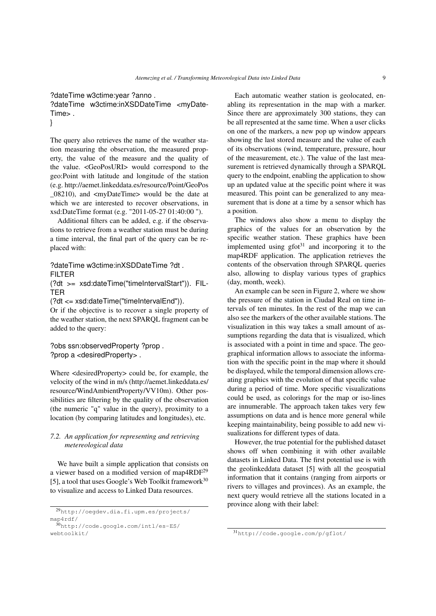?dateTime w3ctime:year ?anno .

?dateTime w3ctime:inXSDDateTime <myDate-Time> .

```
}
```
The query also retrieves the name of the weather station measuring the observation, the measured property, the value of the measure and the quality of the value. <GeoPosURI> would correspond to the geo:Point with latitude and longitude of the station (e.g. http://aemet.linkeddata.es/resource/Point/GeoPos \_08210), and <myDateTime> would be the date at which we are interested to recover observations, in xsd:DateTime format (e.g. "2011-05-27 01:40:00 ").

Additional filters can be added, e.g. if the observations to retrieve from a weather station must be during a time interval, the final part of the query can be replaced with:

?dateTime w3ctime:inXSDDateTime ?dt . FILTER

(?dt >= xsd:dateTime("timeIntervalStart")). FIL-TER

(?dt <= xsd:dateTime("timeIntervalEnd")).

Or if the objective is to recover a single property of the weather station, the next SPARQL fragment can be added to the query:

?obs ssn:observedProperty ?prop . ?prop a <desiredProperty> .

Where <desiredProperty> could be, for example, the velocity of the wind in m/s (http://aemet.linkeddata.es/ resource/WindAmbientProperty/VV10m). Other possibilities are filtering by the quality of the observation (the numeric "q" value in the query), proximity to a location (by comparing latitudes and longitudes), etc.

# *7.2. An application for representing and retrieving metereological data*

We have built a simple application that consists on a viewer based on a modified version of map4 $RDF<sup>29</sup>$  $RDF<sup>29</sup>$  $RDF<sup>29</sup>$ [\[5\]](#page-10-14), a tool that uses Google's Web Toolkit framework $30$ to visualize and access to Linked Data resources.

Each automatic weather station is geolocated, enabling its representation in the map with a marker. Since there are approximately 300 stations, they can be all represented at the same time. When a user clicks on one of the markers, a new pop up window appears showing the last stored measure and the value of each of its observations (wind, temperature, pressure, hour of the measurement, etc.). The value of the last measurement is retrieved dynamically through a SPARQL query to the endpoint, enabling the application to show up an updated value at the specific point where it was measured. This point can be generalized to any measurement that is done at a time by a sensor which has a position.

The windows also show a menu to display the graphics of the values for an observation by the specific weather station. These graphics have been implemented using  $g f o t^{31}$  $g f o t^{31}$  $g f o t^{31}$  and incorporing it to the map4RDF application. The application retrieves the contents of the observation through SPARQL queries also, allowing to display various types of graphics (day, month, week).

An example can be seen in Figure [2,](#page-9-1) where we show the pressure of the station in Ciudad Real on time intervals of ten minutes. In the rest of the map we can also see the markers of the other available stations. The visualization in this way takes a small amount of assumptions regarding the data that is visualized, which is associated with a point in time and space. The geographical information allows to associate the information with the specific point in the map where it should be displayed, while the temporal dimension allows creating graphics with the evolution of that specific value during a period of time. More specific visualizations could be used, as colorings for the map or iso-lines are innumerable. The approach taken takes very few assumptions on data and is hence more general while keeping maintainability, being possible to add new visualizations for different types of data.

However, the true potential for the published dataset shows off when combining it with other available datasets in Linked Data. The first potential use is with the geolinkeddata dataset [\[5\]](#page-10-14) with all the geospatial information that it contains (ranging from airports or rivers to villages and provinces). As an example, the next query would retrieve all the stations located in a province along with their label:

<span id="page-8-0"></span><sup>29</sup>[http://oegdev.dia.fi.upm.es/projects/](http://oegdev.dia.fi.upm.es/projects/map4rdf/) [map4rdf/](http://oegdev.dia.fi.upm.es/projects/map4rdf/)

<span id="page-8-1"></span><sup>30</sup>[http://code.google.com/intl/es-ES/](http://code.google.com/intl/es-ES/webtoolkit/) [webtoolkit/](http://code.google.com/intl/es-ES/webtoolkit/)

<span id="page-8-2"></span><sup>31</sup><http://code.google.com/p/gflot/>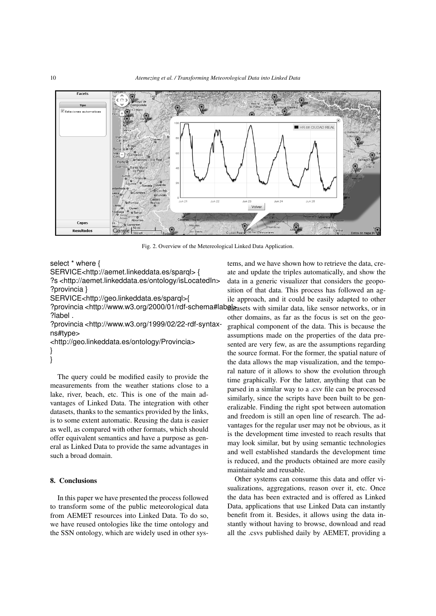

<span id="page-9-1"></span>Fig. 2. Overview of the Metereological Linked Data Application.

select \* where {

SERVICE<http://aemet.linkeddata.es/sparql> {

?s <http://aemet.linkeddata.es/ontology/isLocatedIn> ?provincia }

SERVICE<http://geo.linkeddata.es/sparql>{

?provincia <http://www.w3.org/2000/01/rdf-schema#labg<sub>arasets</sub> with similar data, like sensor networks, or in ?label .

?provincia <http://www.w3.org/1999/02/22-rdf-syntaxns#type>

<http://geo.linkeddata.es/ontology/Provincia> } }

The query could be modified easily to provide the measurements from the weather stations close to a lake, river, beach, etc. This is one of the main advantages of Linked Data. The integration with other datasets, thanks to the semantics provided by the links, is to some extent automatic. Reusing the data is easier as well, as compared with other formats, which should offer equivalent semantics and have a purpose as general as Linked Data to provide the same advantages in such a broad domain.

## <span id="page-9-0"></span>8. Conclusions

In this paper we have presented the process followed to transform some of the public meteorological data from AEMET resources into Linked Data. To do so, we have reused ontologies like the time ontology and the SSN ontology, which are widely used in other systems, and we have shown how to retrieve the data, create and update the triples automatically, and show the data in a generic visualizer that considers the geoposition of that data. This process has followed an agile approach, and it could be easily adapted to other other domains, as far as the focus is set on the geographical component of the data. This is because the assumptions made on the properties of the data presented are very few, as are the assumptions regarding the source format. For the former, the spatial nature of the data allows the map visualization, and the temporal nature of it allows to show the evolution through time graphically. For the latter, anything that can be parsed in a similar way to a .csv file can be processed similarly, since the scripts have been built to be generalizable. Finding the right spot between automation and freedom is still an open line of research. The advantages for the regular user may not be obvious, as it is the development time invested to reach results that may look similar, but by using semantic technologies and well established standards the development time is reduced, and the products obtained are more easily maintainable and reusable.

Other systems can consume this data and offer visualizations, aggregations, reason over it, etc. Once the data has been extracted and is offered as Linked Data, applications that use Linked Data can instantly benefit from it. Besides, it allows using the data instantly without having to browse, download and read all the .csvs published daily by AEMET, providing a